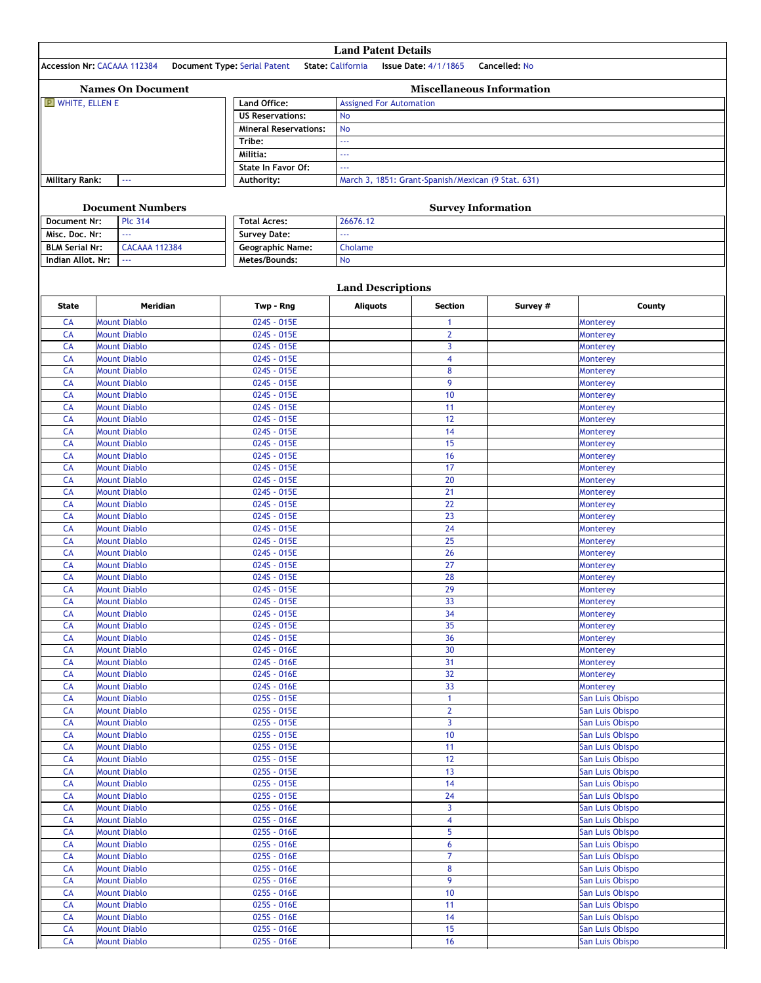|                        | <b>Land Patent Details</b>                 |                                                |                                                    |                                  |               |                                    |  |  |  |
|------------------------|--------------------------------------------|------------------------------------------------|----------------------------------------------------|----------------------------------|---------------|------------------------------------|--|--|--|
|                        | <b>Accession Nr: CACAAA 112384</b>         | Document Type: Serial Patent State: California |                                                    | <b>Issue Date: 4/1/1865</b>      | Cancelled: No |                                    |  |  |  |
|                        |                                            |                                                |                                                    |                                  |               |                                    |  |  |  |
|                        | <b>Names On Document</b>                   |                                                |                                                    | <b>Miscellaneous Information</b> |               |                                    |  |  |  |
| $E$ WHITE, ELLEN E     |                                            | Land Office:<br><b>US Reservations:</b>        | <b>Assigned For Automation</b><br><b>No</b>        |                                  |               |                                    |  |  |  |
|                        |                                            | <b>Mineral Reservations:</b>                   | <b>No</b><br>444<br>ЦL.                            |                                  |               |                                    |  |  |  |
|                        |                                            | Tribe:                                         |                                                    |                                  |               |                                    |  |  |  |
|                        |                                            | Militia:                                       |                                                    |                                  |               |                                    |  |  |  |
|                        |                                            | State In Favor Of:                             | ЦL.                                                |                                  |               |                                    |  |  |  |
| <b>Military Rank:</b>  | $\omega$ .                                 | Authority:                                     | March 3, 1851: Grant-Spanish/Mexican (9 Stat. 631) |                                  |               |                                    |  |  |  |
|                        | <b>Document Numbers</b>                    |                                                |                                                    | <b>Survey Information</b>        |               |                                    |  |  |  |
| <b>Document Nr:</b>    | <b>Plc 314</b>                             |                                                |                                                    |                                  |               |                                    |  |  |  |
| Misc. Doc. Nr:         | 222                                        | Survey Date:                                   | LL.                                                |                                  |               |                                    |  |  |  |
| <b>BLM Serial Nr:</b>  | <b>CACAAA 112384</b>                       | <b>Geographic Name:</b>                        | Cholame                                            |                                  |               |                                    |  |  |  |
| Indian Allot, Nr:      | $\omega$ .                                 | Metes/Bounds:                                  | <b>No</b>                                          |                                  |               |                                    |  |  |  |
|                        |                                            |                                                |                                                    |                                  |               |                                    |  |  |  |
| <b>State</b>           | <b>Meridian</b>                            |                                                | <b>Land Descriptions</b>                           | <b>Section</b>                   | Survey #      | County                             |  |  |  |
|                        | <b>Mount Diablo</b>                        | Twp - Rng<br>024S - 015E                       | <b>Aliquots</b>                                    |                                  |               |                                    |  |  |  |
| <b>CA</b><br>CA        | <b>Mount Diablo</b>                        | 024S - 015E                                    |                                                    | 1<br>2                           |               | <b>Monterey</b><br>Monterey        |  |  |  |
| CA                     | <b>Mount Diablo</b>                        | 024S - 015E                                    |                                                    | 3                                |               | Monterey                           |  |  |  |
| <b>CA</b>              | <b>Mount Diablo</b>                        | 024S - 015E                                    |                                                    | 4                                |               | Monterey                           |  |  |  |
| <b>CA</b>              | <b>Mount Diablo</b>                        | 024S - 015E                                    |                                                    | 8                                |               | Monterey                           |  |  |  |
| CA                     | <b>Mount Diablo</b>                        | 024S - 015E                                    |                                                    | 9                                |               | <b>Monterey</b>                    |  |  |  |
| <b>CA</b><br><b>CA</b> | <b>Mount Diablo</b><br><b>Mount Diablo</b> | 024S - 015E<br>024S - 015E                     |                                                    | 10<br>11                         |               | <b>Monterey</b>                    |  |  |  |
| CA                     | <b>Mount Diablo</b>                        | 024S - 015E                                    |                                                    | 12                               |               | Monterey<br>Monterey               |  |  |  |
| <b>CA</b>              | <b>Mount Diablo</b>                        | 024S - 015E                                    |                                                    | 14                               |               | <b>Monterey</b>                    |  |  |  |
| CA                     | <b>Mount Diablo</b>                        | 024S - 015E                                    |                                                    | 15                               |               | Monterey                           |  |  |  |
| CA                     | <b>Mount Diablo</b>                        | 024S - 015E                                    |                                                    | 16                               |               | <b>Monterey</b>                    |  |  |  |
| <b>CA</b>              | <b>Mount Diablo</b>                        | 024S - 015E                                    |                                                    | 17                               |               | Monterey                           |  |  |  |
| CA<br>CA               | <b>Mount Diablo</b><br><b>Mount Diablo</b> | 024S - 015E<br>024S - 015E                     |                                                    | 20<br>21                         |               | Monterey<br>Monterey               |  |  |  |
| CA                     | <b>Mount Diablo</b>                        | 024S - 015E                                    |                                                    | 22                               |               | <b>Monterey</b>                    |  |  |  |
| CA                     | <b>Mount Diablo</b>                        | 024S - 015E                                    |                                                    | 23                               |               | Monterey                           |  |  |  |
| <b>CA</b>              | <b>Mount Diablo</b>                        | 024S - 015E                                    |                                                    | 24                               |               | <b>Monterey</b>                    |  |  |  |
| <b>CA</b>              | <b>Mount Diablo</b>                        | 024S - 015E                                    |                                                    | 25                               |               | Monterey                           |  |  |  |
| CA                     | <b>Mount Diablo</b>                        | 024S - 015E                                    |                                                    | 26                               |               | Monterey                           |  |  |  |
| <b>CA</b><br>CA        | <b>Mount Diablo</b><br><b>Mount Diablo</b> | 024S - 015E<br>024S - 015E                     |                                                    | 27<br>28                         |               | Monterey<br>Monterey               |  |  |  |
| <b>CA</b>              | <b>Mount Diablo</b>                        | 024S - 015E                                    |                                                    | 29                               |               | <b>Monterey</b>                    |  |  |  |
| CA                     | <b>Mount Diablo</b>                        | 024S - 015E                                    |                                                    | 33                               |               | <b>Monterey</b>                    |  |  |  |
| <b>CA</b>              | <b>Mount Diablo</b>                        | 024S - 015E                                    |                                                    | 34                               |               | <b>Monterey</b>                    |  |  |  |
| CA                     | <b>Mount Diablo</b>                        | 024S - 015E                                    |                                                    | 35                               |               | Monterey                           |  |  |  |
| <b>CA</b>              | <b>Mount Diablo</b>                        | 024S - 015E<br>024S - 016E                     |                                                    | 36                               |               | <b>Monterey</b>                    |  |  |  |
| <b>CA</b><br><b>CA</b> | <b>Mount Diablo</b><br><b>Mount Diablo</b> | 024S - 016E                                    |                                                    | 30<br>31                         |               | <b>Monterey</b><br>Monterey        |  |  |  |
| CA                     | <b>Mount Diablo</b>                        | 024S - 016E                                    |                                                    | 32                               |               | <b>Monterey</b>                    |  |  |  |
| <b>CA</b>              | <b>Mount Diablo</b>                        | 024S - 016E                                    |                                                    | 33                               |               | <b>Monterey</b>                    |  |  |  |
| <b>CA</b>              | <b>Mount Diablo</b>                        | 025S - 015E                                    |                                                    | 1                                |               | San Luis Obispo                    |  |  |  |
| <b>CA</b>              | <b>Mount Diablo</b>                        | 025S - 015E                                    |                                                    | $\overline{2}$                   |               | San Luis Obispo                    |  |  |  |
| CA                     | <b>Mount Diablo</b>                        | 025S - 015E<br>025S - 015E                     |                                                    | $\overline{3}$<br>10             |               | San Luis Obispo                    |  |  |  |
| <b>CA</b><br><b>CA</b> | <b>Mount Diablo</b><br><b>Mount Diablo</b> | 025S - 015E                                    |                                                    | 11                               |               | San Luis Obispo<br>San Luis Obispo |  |  |  |
| <b>CA</b>              | <b>Mount Diablo</b>                        | 025S - 015E                                    |                                                    | 12                               |               | San Luis Obispo                    |  |  |  |
| CA                     | <b>Mount Diablo</b>                        | 025S - 015E                                    |                                                    | 13                               |               | San Luis Obispo                    |  |  |  |
| CA                     | <b>Mount Diablo</b>                        | 025S - 015E                                    |                                                    | 14                               |               | San Luis Obispo                    |  |  |  |
| <b>CA</b>              | <b>Mount Diablo</b>                        | 025S - 015E                                    |                                                    | 24                               |               | San Luis Obispo                    |  |  |  |
| <b>CA</b>              | <b>Mount Diablo</b>                        | 025S - 016E                                    |                                                    | 3                                |               | San Luis Obispo                    |  |  |  |
| CA<br><b>CA</b>        | <b>Mount Diablo</b><br><b>Mount Diablo</b> | 025S - 016E<br>025S - 016E                     |                                                    | 4<br>5                           |               | San Luis Obispo<br>San Luis Obispo |  |  |  |
| <b>CA</b>              | <b>Mount Diablo</b>                        | 025S - 016E                                    |                                                    | 6                                |               | San Luis Obispo                    |  |  |  |
| CA                     | <b>Mount Diablo</b>                        | 025S - 016E                                    |                                                    | 7                                |               | San Luis Obispo                    |  |  |  |
| <b>CA</b>              | <b>Mount Diablo</b>                        | 025S - 016E                                    |                                                    | 8                                |               | San Luis Obispo                    |  |  |  |
| <b>CA</b>              | <b>Mount Diablo</b>                        | 025S - 016E                                    |                                                    | 9                                |               | San Luis Obispo                    |  |  |  |
| <b>CA</b>              | <b>Mount Diablo</b>                        | 025S - 016E                                    |                                                    | 10                               |               | San Luis Obispo                    |  |  |  |
| CA<br>CA               | <b>Mount Diablo</b><br><b>Mount Diablo</b> | 025S - 016E<br>025S - 016E                     |                                                    | 11<br>14                         |               | San Luis Obispo<br>San Luis Obispo |  |  |  |
| <b>CA</b>              | <b>Mount Diablo</b>                        | 025S - 016E                                    |                                                    | 15                               |               | San Luis Obispo                    |  |  |  |
| CA                     | <b>Mount Diablo</b>                        | 025S - 016E                                    |                                                    | 16                               |               | San Luis Obispo                    |  |  |  |